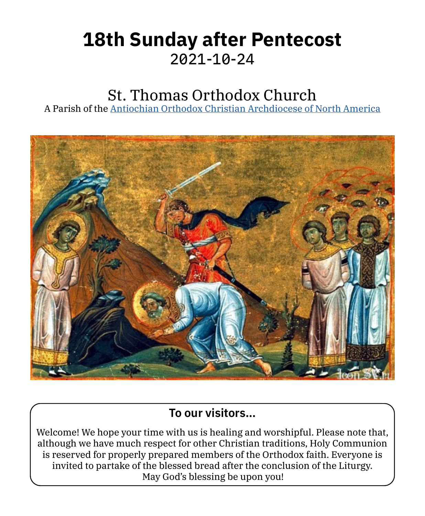# **18th Sunday after Pentecost** 2021‑10‑24

# St. Thomas Orthodox Church

A Parish of the [Antiochian Orthodox Christian Archdiocese of North America](https://www.antiochian.org)



### **To our visitors…**

Welcome! We hope your time with us is healing and worshipful. Please note that, although we have much respect for other Christian traditions, Holy Communion is reserved for properly prepared members of the Orthodox faith. Everyone is invited to partake of the blessed bread after the conclusion of the Liturgy. May God's blessing be upon you!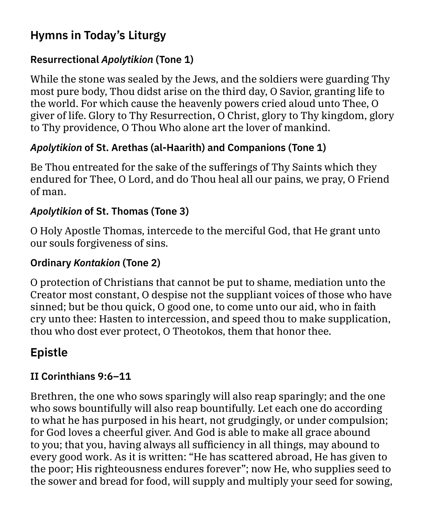### **Hymns in Today's Liturgy**

### **Resurrectional** *Apolytikion* **(Tone 1)**

While the stone was sealed by the Jews, and the soldiers were guarding Thy most pure body, Thou didst arise on the third day, O Savior, granting life to the world. For which cause the heavenly powers cried aloud unto Thee, O giver of life. Glory to Thy Resurrection, O Christ, glory to Thy kingdom, glory to Thy providence, O Thou Who alone art the lover of mankind.

### *Apolytikion* **of St. Arethas (al-Haarith) and Companions (Tone 1)**

Be Thou entreated for the sake of the sufferings of Thy Saints which they endured for Thee, O Lord, and do Thou heal all our pains, we pray, O Friend of man.

### *Apolytikion* **of St. Thomas (Tone 3)**

O Holy Apostle Thomas, intercede to the merciful God, that He grant unto our souls forgiveness of sins.

### **Ordinary** *Kontakion* **(Tone 2)**

O protection of Christians that cannot be put to shame, mediation unto the Creator most constant, O despise not the suppliant voices of those who have sinned; but be thou quick, O good one, to come unto our aid, who in faith cry unto thee: Hasten to intercession, and speed thou to make supplication, thou who dost ever protect, O Theotokos, them that honor thee.

# **Epistle**

### **II Corinthians 9:6–11**

Brethren, the one who sows sparingly will also reap sparingly; and the one who sows bountifully will also reap bountifully. Let each one do according to what he has purposed in his heart, not grudgingly, or under compulsion; for God loves a cheerful giver. And God is able to make all grace abound to you; that you, having always all sufficiency in all things, may abound to every good work. As it is written: "He has scattered abroad, He has given to the poor; His righteousness endures forever"; now He, who supplies seed to the sower and bread for food, will supply and multiply your seed for sowing,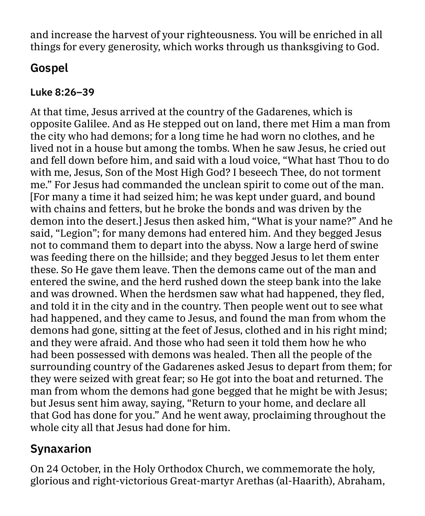and increase the harvest of your righteousness. You will be enriched in all things for every generosity, which works through us thanksgiving to God.

### **Gospel**

#### **Luke 8:26–39**

At that time, Jesus arrived at the country of the Gadarenes, which is opposite Galilee. And as He stepped out on land, there met Him a man from the city who had demons; for a long time he had worn no clothes, and he lived not in a house but among the tombs. When he saw Jesus, he cried out and fell down before him, and said with a loud voice, "What hast Thou to do with me, Jesus, Son of the Most High God? I beseech Thee, do not torment me." For Jesus had commanded the unclean spirit to come out of the man. [For many a time it had seized him; he was kept under guard, and bound with chains and fetters, but he broke the bonds and was driven by the demon into the desert.] Jesus then asked him, "What is your name?" And he said, "Legion"; for many demons had entered him. And they begged Jesus not to command them to depart into the abyss. Now a large herd of swine was feeding there on the hillside; and they begged Jesus to let them enter these. So He gave them leave. Then the demons came out of the man and entered the swine, and the herd rushed down the steep bank into the lake and was drowned. When the herdsmen saw what had happened, they fled, and told it in the city and in the country. Then people went out to see what had happened, and they came to Jesus, and found the man from whom the demons had gone, sitting at the feet of Jesus, clothed and in his right mind; and they were afraid. And those who had seen it told them how he who had been possessed with demons was healed. Then all the people of the surrounding country of the Gadarenes asked Jesus to depart from them; for they were seized with great fear; so He got into the boat and returned. The man from whom the demons had gone begged that he might be with Jesus; but Jesus sent him away, saying, "Return to your home, and declare all that God has done for you." And he went away, proclaiming throughout the whole city all that Jesus had done for him.

# **Synaxarion**

On 24 October, in the Holy Orthodox Church, we commemorate the holy, glorious and right-victorious Great-martyr Arethas (al-Haarith), Abraham,